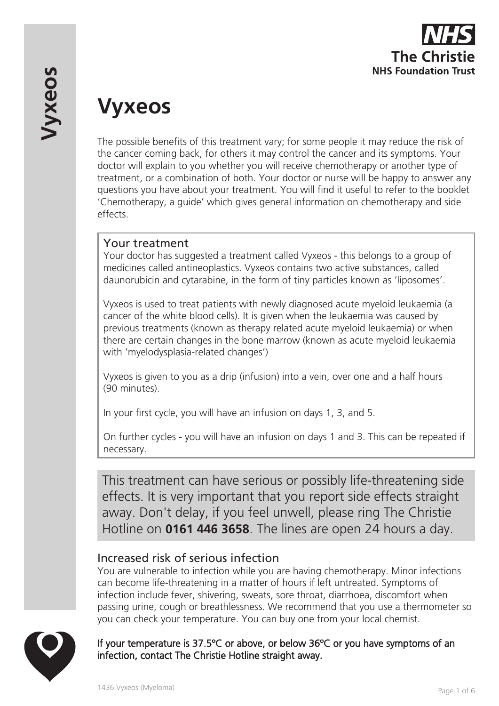

# **Vyxeos**

The possible benefits of this treatment vary; for some people it may reduce the risk of the cancer coming back, for others it may control the cancer and its symptoms. Your doctor will explain to you whether you will receive chemotherapy or another type of treatment, or a combination of both. Your doctor or nurse will be happy to answer any questions you have about your treatment. You will find it useful to refer to the booklet 'Chemotherapy, a guide' which gives general information on chemotherapy and side effects.

### Your treatment

Your doctor has suggested a treatment called Vyxeos - this belongs to a group of medicines called antineoplastics. Vyxeos contains two active substances, called daunorubicin and cytarabine, in the form of tiny particles known as 'liposomes'.

Vyxeos is used to treat patients with newly diagnosed acute myeloid leukaemia (a cancer of the white blood cells). It is given when the leukaemia was caused by previous treatments (known as therapy related acute myeloid leukaemia) or when there are certain changes in the bone marrow (known as acute myeloid leukaemia with 'myelodysplasia-related changes')

Vyxeos is given to you as a drip (infusion) into a vein, over one and a half hours (90 minutes).

In your first cycle, you will have an infusion on days 1, 3, and 5.

On further cycles - you will have an infusion on days 1 and 3. This can be repeated if necessary.

This treatment can have serious or possibly life-threatening side effects. It is very important that you report side effects straight away. Don't delay, if you feel unwell, please ring The Christie Hotline on **0161 446 3658**. The lines are open 24 hours a day.

# Increased risk of serious infection

You are vulnerable to infection while you are having chemotherapy. Minor infections can become life-threatening in a matter of hours if left untreated. Symptoms of infection include fever, shivering, sweats, sore throat, diarrhoea, discomfort when passing urine, cough or breathlessness. We recommend that you use a thermometer so you can check your temperature. You can buy one from your local chemist.



#### If your temperature is 37.5ºC or above, or below 36ºC or you have symptoms of an infection, contact The Christie Hotline straight away.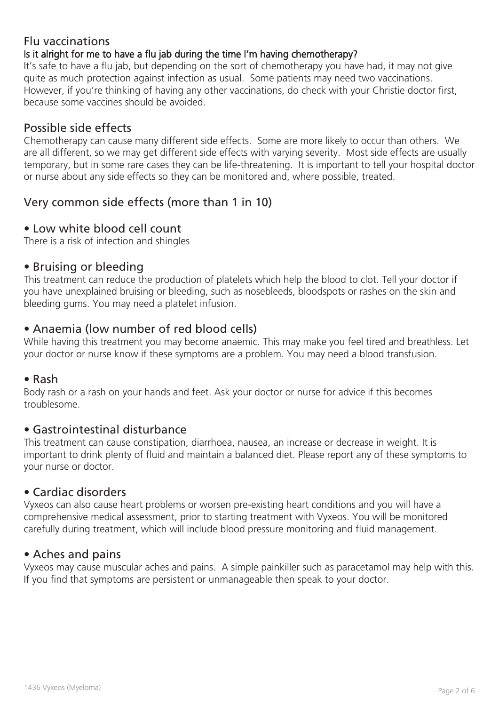## Flu vaccinations

#### Is it alright for me to have a flu jab during the time I'm having chemotherapy?

It's safe to have a flu jab, but depending on the sort of chemotherapy you have had, it may not give quite as much protection against infection as usual. Some patients may need two vaccinations. However, if you're thinking of having any other vaccinations, do check with your Christie doctor first, because some vaccines should be avoided.

## Possible side effects

Chemotherapy can cause many different side effects. Some are more likely to occur than others. We are all different, so we may get different side effects with varying severity. Most side effects are usually temporary, but in some rare cases they can be life-threatening. It is important to tell your hospital doctor or nurse about any side effects so they can be monitored and, where possible, treated.

# Very common side effects (more than 1 in 10)

#### • Low white blood cell count

There is a risk of infection and shingles

#### • Bruising or bleeding

This treatment can reduce the production of platelets which help the blood to clot. Tell your doctor if you have unexplained bruising or bleeding, such as nosebleeds, bloodspots or rashes on the skin and bleeding gums. You may need a platelet infusion.

#### • Anaemia (low number of red blood cells)

While having this treatment you may become anaemic. This may make you feel tired and breathless. Let your doctor or nurse know if these symptoms are a problem. You may need a blood transfusion.

#### • Rash

Body rash or a rash on your hands and feet. Ask your doctor or nurse for advice if this becomes troublesome.

#### • Gastrointestinal disturbance

This treatment can cause constipation, diarrhoea, nausea, an increase or decrease in weight. It is important to drink plenty of fluid and maintain a balanced diet. Please report any of these symptoms to your nurse or doctor.

#### • Cardiac disorders

Vyxeos can also cause heart problems or worsen pre-existing heart conditions and you will have a comprehensive medical assessment, prior to starting treatment with Vyxeos. You will be monitored carefully during treatment, which will include blood pressure monitoring and fluid management.

#### • Aches and pains

Vyxeos may cause muscular aches and pains. A simple painkiller such as paracetamol may help with this. If you find that symptoms are persistent or unmanageable then speak to your doctor.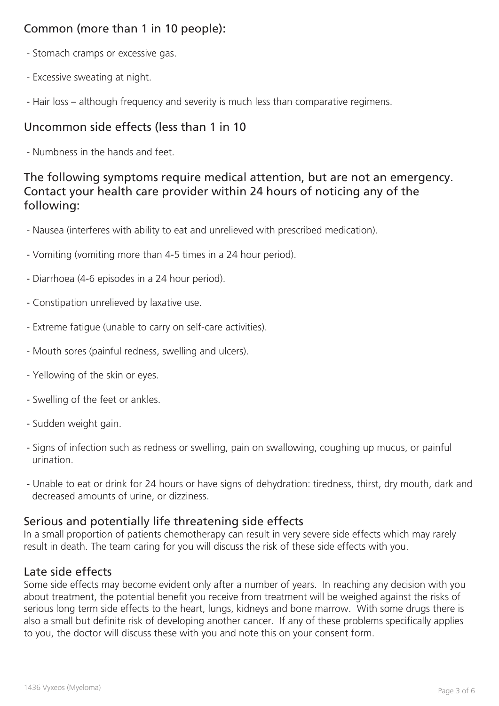# Common (more than 1 in 10 people):

- Stomach cramps or excessive gas.
- Excessive sweating at night.
- Hair loss although frequency and severity is much less than comparative regimens.

# Uncommon side effects (less than 1 in 10

- Numbness in the hands and feet.

# The following symptoms require medical attention, but are not an emergency. Contact your health care provider within 24 hours of noticing any of the following:

- Nausea (interferes with ability to eat and unrelieved with prescribed medication).
- Vomiting (vomiting more than 4-5 times in a 24 hour period).
- Diarrhoea (4-6 episodes in a 24 hour period).
- Constipation unrelieved by laxative use.
- Extreme fatigue (unable to carry on self-care activities).
- Mouth sores (painful redness, swelling and ulcers).
- Yellowing of the skin or eyes.
- Swelling of the feet or ankles.
- Sudden weight gain.
- Signs of infection such as redness or swelling, pain on swallowing, coughing up mucus, or painful urination.
- Unable to eat or drink for 24 hours or have signs of dehydration: tiredness, thirst, dry mouth, dark and decreased amounts of urine, or dizziness.

## Serious and potentially life threatening side effects

In a small proportion of patients chemotherapy can result in very severe side effects which may rarely result in death. The team caring for you will discuss the risk of these side effects with you.

#### Late side effects

Some side effects may become evident only after a number of years. In reaching any decision with you about treatment, the potential benefit you receive from treatment will be weighed against the risks of serious long term side effects to the heart, lungs, kidneys and bone marrow. With some drugs there is also a small but definite risk of developing another cancer. If any of these problems specifically applies to you, the doctor will discuss these with you and note this on your consent form.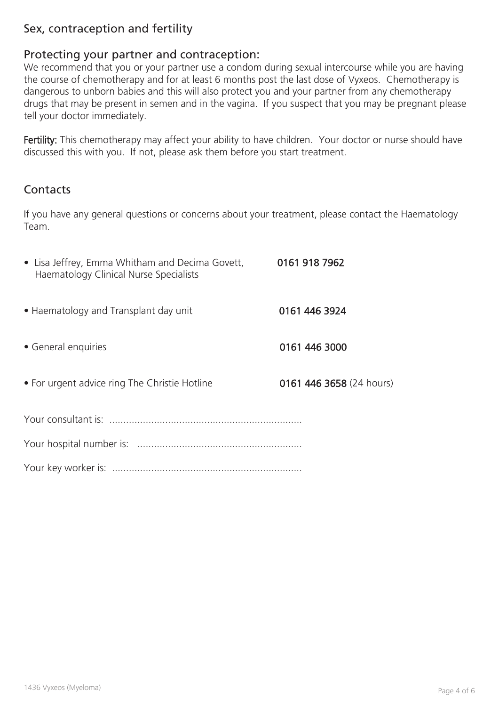# Sex, contraception and fertility

#### Protecting your partner and contraception:

We recommend that you or your partner use a condom during sexual intercourse while you are having the course of chemotherapy and for at least 6 months post the last dose of Vyxeos. Chemotherapy is dangerous to unborn babies and this will also protect you and your partner from any chemotherapy drugs that may be present in semen and in the vagina. If you suspect that you may be pregnant please tell your doctor immediately.

Fertility: This chemotherapy may affect your ability to have children. Your doctor or nurse should have discussed this with you. If not, please ask them before you start treatment.

## **Contacts**

If you have any general questions or concerns about your treatment, please contact the Haematology Team.

| • Lisa Jeffrey, Emma Whitham and Decima Govett, 0161 918 7962<br>Haematology Clinical Nurse Specialists |                          |
|---------------------------------------------------------------------------------------------------------|--------------------------|
| • Haematology and Transplant day unit                                                                   | 0161 446 3924            |
| • General enquiries                                                                                     | 0161 446 3000            |
| • For urgent advice ring The Christie Hotline                                                           | 0161 446 3658 (24 hours) |
|                                                                                                         |                          |
|                                                                                                         |                          |
|                                                                                                         |                          |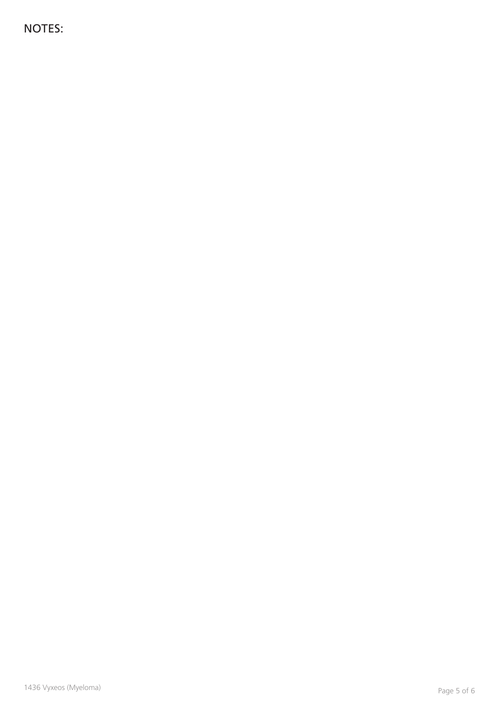NOTES: